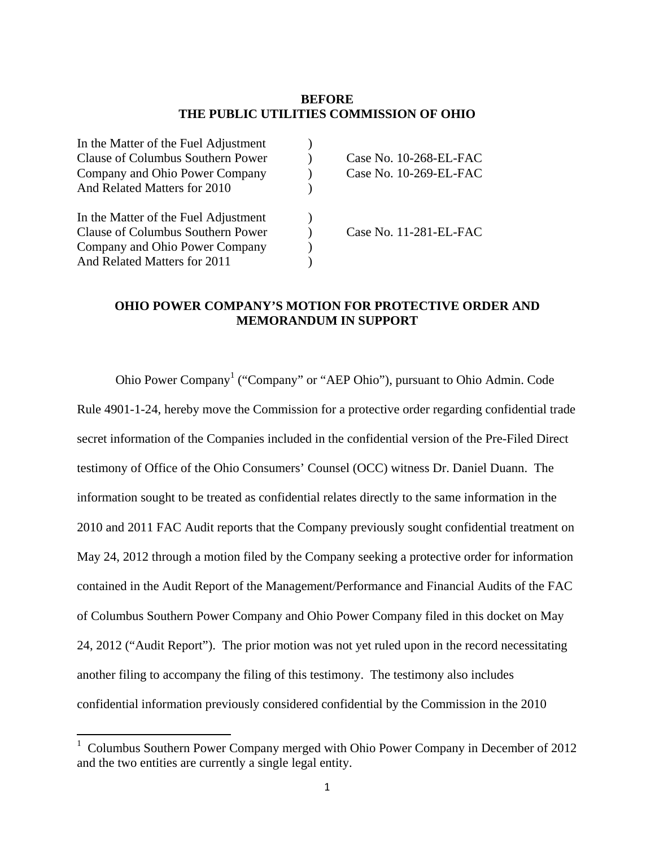# **BEFORE THE PUBLIC UTILITIES COMMISSION OF OHIO**

| In the Matter of the Fuel Adjustment |                        |
|--------------------------------------|------------------------|
| Clause of Columbus Southern Power    | Case No. 10-268-EL-FAC |
| Company and Ohio Power Company       | Case No. 10-269-EL-FAC |
| And Related Matters for 2010         |                        |
|                                      |                        |
| In the Matter of the Fuel Adjustment |                        |
| Clause of Columbus Southern Power    | Case No. 11-281-EL-FAC |
| Company and Ohio Power Company       |                        |
| And Related Matters for 2011         |                        |
|                                      |                        |

# **OHIO POWER COMPANY'S MOTION FOR PROTECTIVE ORDER AND MEMORANDUM IN SUPPORT**

Ohio Power Company<sup>1</sup> ("Company" or "AEP Ohio"), pursuant to Ohio Admin. Code Rule 4901-1-24, hereby move the Commission for a protective order regarding confidential trade secret information of the Companies included in the confidential version of the Pre-Filed Direct testimony of Office of the Ohio Consumers' Counsel (OCC) witness Dr. Daniel Duann. The information sought to be treated as confidential relates directly to the same information in the 2010 and 2011 FAC Audit reports that the Company previously sought confidential treatment on May 24, 2012 through a motion filed by the Company seeking a protective order for information contained in the Audit Report of the Management/Performance and Financial Audits of the FAC of Columbus Southern Power Company and Ohio Power Company filed in this docket on May 24, 2012 ("Audit Report"). The prior motion was not yet ruled upon in the record necessitating another filing to accompany the filing of this testimony. The testimony also includes confidential information previously considered confidential by the Commission in the 2010

<sup>&</sup>lt;sup>1</sup> Columbus Southern Power Company merged with Ohio Power Company in December of 2012 and the two entities are currently a single legal entity.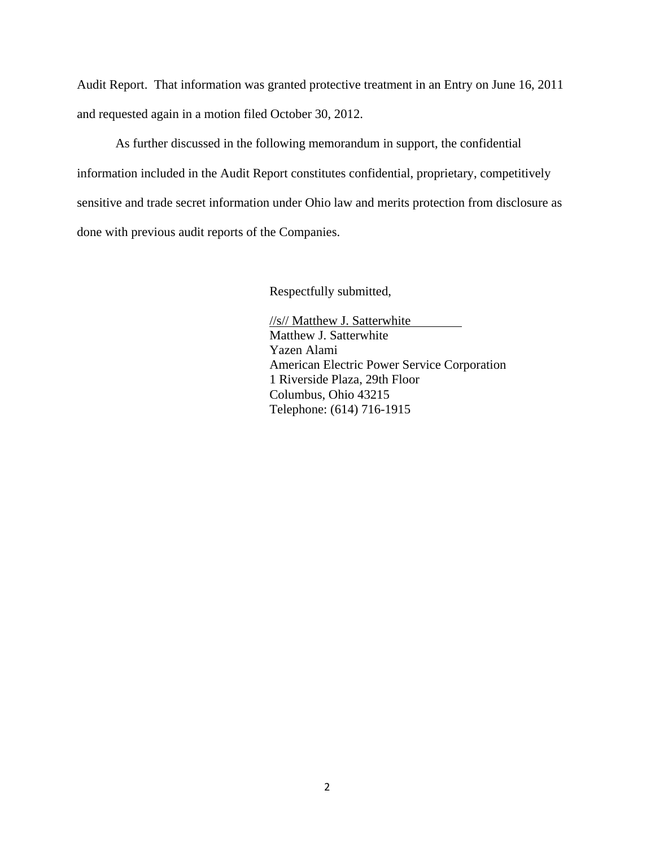Audit Report. That information was granted protective treatment in an Entry on June 16, 2011 and requested again in a motion filed October 30, 2012.

As further discussed in the following memorandum in support, the confidential information included in the Audit Report constitutes confidential, proprietary, competitively sensitive and trade secret information under Ohio law and merits protection from disclosure as done with previous audit reports of the Companies.

Respectfully submitted,

//s// Matthew J. Satterwhite Matthew J. Satterwhite Yazen Alami American Electric Power Service Corporation 1 Riverside Plaza, 29th Floor Columbus, Ohio 43215 Telephone: (614) 716-1915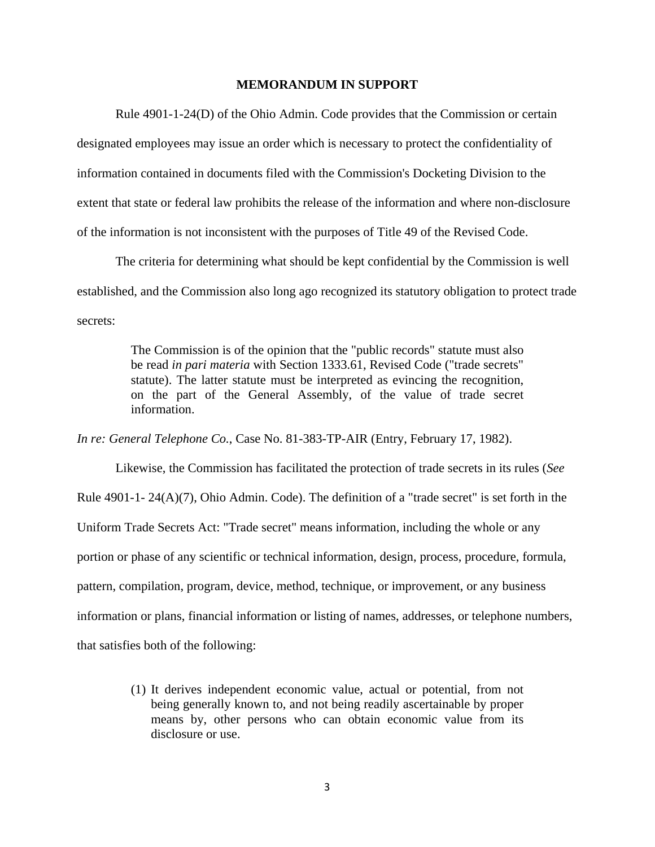#### **MEMORANDUM IN SUPPORT**

Rule 4901-1-24(D) of the Ohio Admin. Code provides that the Commission or certain designated employees may issue an order which is necessary to protect the confidentiality of information contained in documents filed with the Commission's Docketing Division to the extent that state or federal law prohibits the release of the information and where non-disclosure of the information is not inconsistent with the purposes of Title 49 of the Revised Code.

The criteria for determining what should be kept confidential by the Commission is well established, and the Commission also long ago recognized its statutory obligation to protect trade secrets:

> The Commission is of the opinion that the "public records" statute must also be read *in pari materia* with Section 1333.61, Revised Code ("trade secrets" statute). The latter statute must be interpreted as evincing the recognition, on the part of the General Assembly, of the value of trade secret information.

*In re: General Telephone Co.*, Case No. 81-383-TP-AIR (Entry, February 17, 1982).

Likewise, the Commission has facilitated the protection of trade secrets in its rules (*See*  Rule 4901-1- 24(A)(7), Ohio Admin. Code). The definition of a "trade secret" is set forth in the Uniform Trade Secrets Act: "Trade secret" means information, including the whole or any portion or phase of any scientific or technical information, design, process, procedure, formula, pattern, compilation, program, device, method, technique, or improvement, or any business information or plans, financial information or listing of names, addresses, or telephone numbers, that satisfies both of the following:

> (1) It derives independent economic value, actual or potential, from not being generally known to, and not being readily ascertainable by proper means by, other persons who can obtain economic value from its disclosure or use.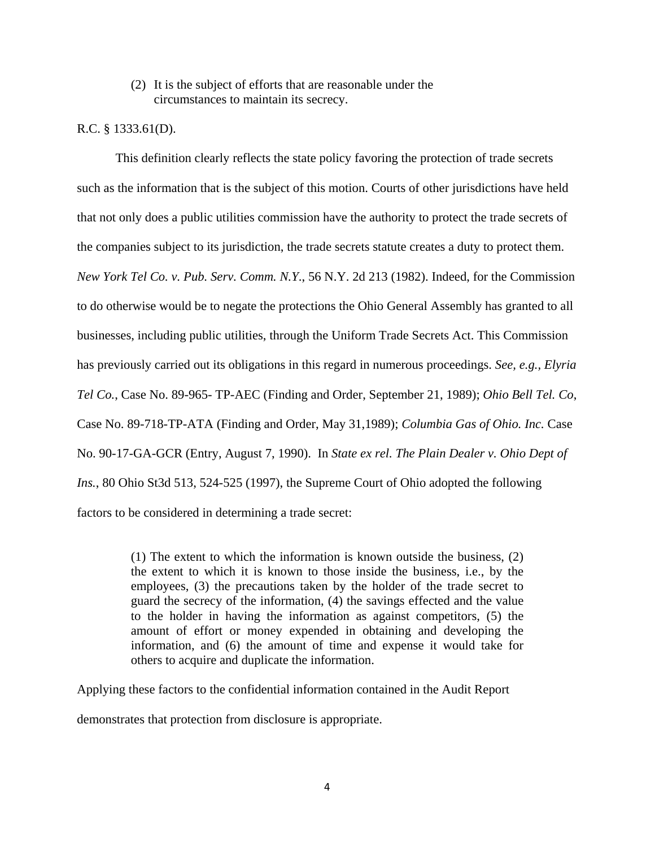(2) It is the subject of efforts that are reasonable under the circumstances to maintain its secrecy.

### R.C. § 1333.61(D).

This definition clearly reflects the state policy favoring the protection of trade secrets such as the information that is the subject of this motion. Courts of other jurisdictions have held that not only does a public utilities commission have the authority to protect the trade secrets of the companies subject to its jurisdiction, the trade secrets statute creates a duty to protect them. *New York Tel Co. v. Pub. Serv. Comm. N.Y*., 56 N.Y. 2d 213 (1982). Indeed, for the Commission to do otherwise would be to negate the protections the Ohio General Assembly has granted to all businesses, including public utilities, through the Uniform Trade Secrets Act. This Commission has previously carried out its obligations in this regard in numerous proceedings. *See, e.g., Elyria Tel Co.*, Case No. 89-965- TP-AEC (Finding and Order, September 21, 1989); *Ohio Bell Tel. Co*, Case No. 89-718-TP-ATA (Finding and Order, May 31,1989); *Columbia Gas of Ohio. Inc.* Case No. 90-17-GA-GCR (Entry, August 7, 1990). In *State ex rel. The Plain Dealer v. Ohio Dept of Ins.*, 80 Ohio St3d 513, 524-525 (1997), the Supreme Court of Ohio adopted the following factors to be considered in determining a trade secret:

> (1) The extent to which the information is known outside the business, (2) the extent to which it is known to those inside the business, i.e., by the employees, (3) the precautions taken by the holder of the trade secret to guard the secrecy of the information, (4) the savings effected and the value to the holder in having the information as against competitors, (5) the amount of effort or money expended in obtaining and developing the information, and (6) the amount of time and expense it would take for others to acquire and duplicate the information.

Applying these factors to the confidential information contained in the Audit Report

demonstrates that protection from disclosure is appropriate.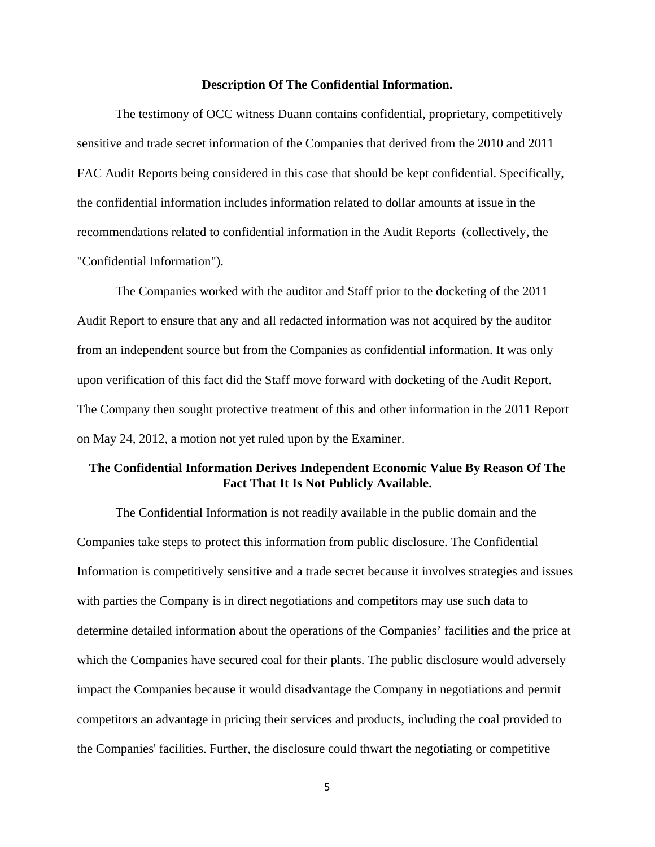#### **Description Of The Confidential Information.**

The testimony of OCC witness Duann contains confidential, proprietary, competitively sensitive and trade secret information of the Companies that derived from the 2010 and 2011 FAC Audit Reports being considered in this case that should be kept confidential. Specifically, the confidential information includes information related to dollar amounts at issue in the recommendations related to confidential information in the Audit Reports (collectively, the "Confidential Information").

The Companies worked with the auditor and Staff prior to the docketing of the 2011 Audit Report to ensure that any and all redacted information was not acquired by the auditor from an independent source but from the Companies as confidential information. It was only upon verification of this fact did the Staff move forward with docketing of the Audit Report. The Company then sought protective treatment of this and other information in the 2011 Report on May 24, 2012, a motion not yet ruled upon by the Examiner.

## **The Confidential Information Derives Independent Economic Value By Reason Of The Fact That It Is Not Publicly Available.**

The Confidential Information is not readily available in the public domain and the Companies take steps to protect this information from public disclosure. The Confidential Information is competitively sensitive and a trade secret because it involves strategies and issues with parties the Company is in direct negotiations and competitors may use such data to determine detailed information about the operations of the Companies' facilities and the price at which the Companies have secured coal for their plants. The public disclosure would adversely impact the Companies because it would disadvantage the Company in negotiations and permit competitors an advantage in pricing their services and products, including the coal provided to the Companies' facilities. Further, the disclosure could thwart the negotiating or competitive

5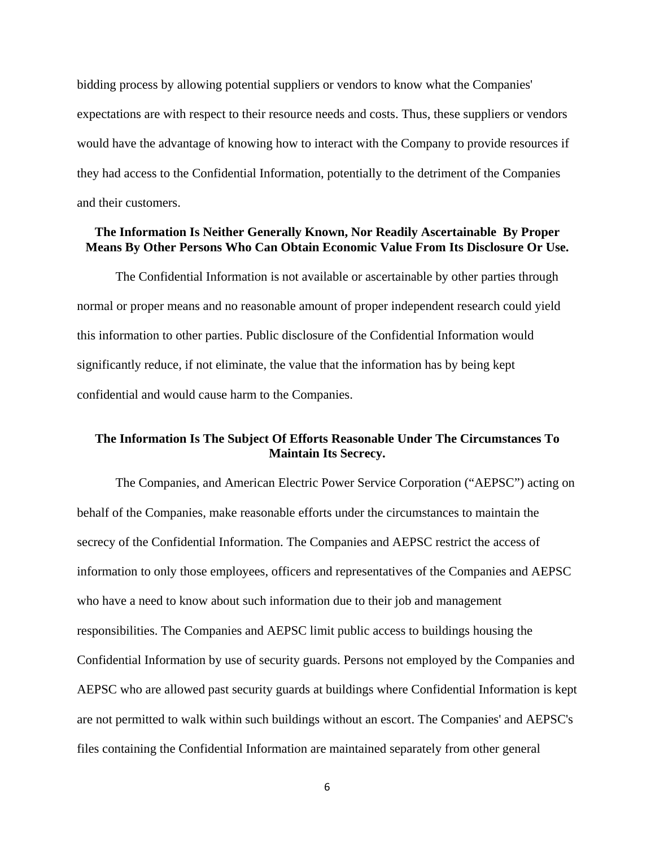bidding process by allowing potential suppliers or vendors to know what the Companies' expectations are with respect to their resource needs and costs. Thus, these suppliers or vendors would have the advantage of knowing how to interact with the Company to provide resources if they had access to the Confidential Information, potentially to the detriment of the Companies and their customers.

### **The Information Is Neither Generally Known, Nor Readily Ascertainable By Proper Means By Other Persons Who Can Obtain Economic Value From Its Disclosure Or Use.**

The Confidential Information is not available or ascertainable by other parties through normal or proper means and no reasonable amount of proper independent research could yield this information to other parties. Public disclosure of the Confidential Information would significantly reduce, if not eliminate, the value that the information has by being kept confidential and would cause harm to the Companies.

## **The Information Is The Subject Of Efforts Reasonable Under The Circumstances To Maintain Its Secrecy.**

The Companies, and American Electric Power Service Corporation ("AEPSC") acting on behalf of the Companies, make reasonable efforts under the circumstances to maintain the secrecy of the Confidential Information. The Companies and AEPSC restrict the access of information to only those employees, officers and representatives of the Companies and AEPSC who have a need to know about such information due to their job and management responsibilities. The Companies and AEPSC limit public access to buildings housing the Confidential Information by use of security guards. Persons not employed by the Companies and AEPSC who are allowed past security guards at buildings where Confidential Information is kept are not permitted to walk within such buildings without an escort. The Companies' and AEPSC's files containing the Confidential Information are maintained separately from other general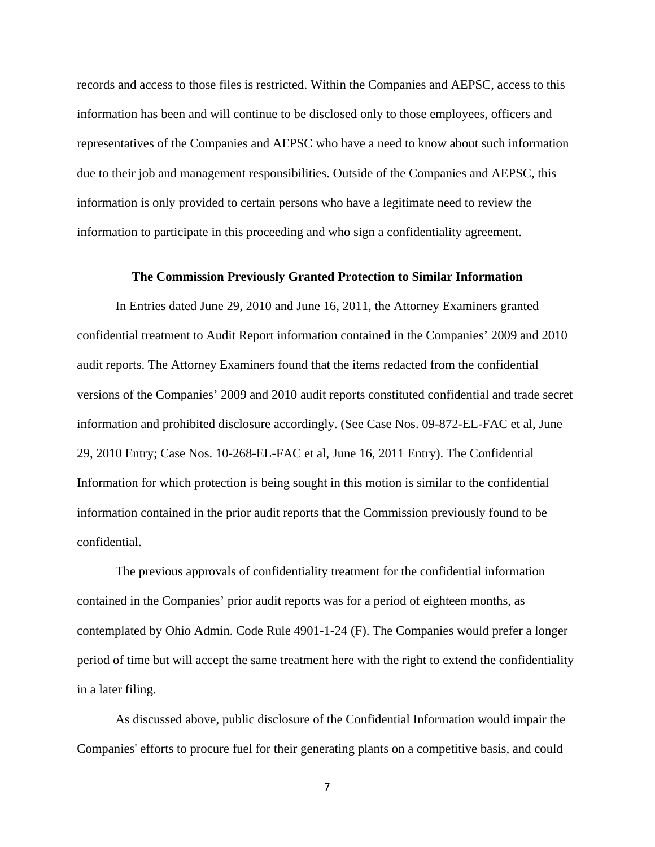records and access to those files is restricted. Within the Companies and AEPSC, access to this information has been and will continue to be disclosed only to those employees, officers and representatives of the Companies and AEPSC who have a need to know about such information due to their job and management responsibilities. Outside of the Companies and AEPSC, this information is only provided to certain persons who have a legitimate need to review the information to participate in this proceeding and who sign a confidentiality agreement.

#### **The Commission Previously Granted Protection to Similar Information**

In Entries dated June 29, 2010 and June 16, 2011, the Attorney Examiners granted confidential treatment to Audit Report information contained in the Companies' 2009 and 2010 audit reports. The Attorney Examiners found that the items redacted from the confidential versions of the Companies' 2009 and 2010 audit reports constituted confidential and trade secret information and prohibited disclosure accordingly. (See Case Nos. 09-872-EL-FAC et al, June 29, 2010 Entry; Case Nos. 10-268-EL-FAC et al, June 16, 2011 Entry). The Confidential Information for which protection is being sought in this motion is similar to the confidential information contained in the prior audit reports that the Commission previously found to be confidential.

The previous approvals of confidentiality treatment for the confidential information contained in the Companies' prior audit reports was for a period of eighteen months, as contemplated by Ohio Admin. Code Rule 4901-1-24 (F). The Companies would prefer a longer period of time but will accept the same treatment here with the right to extend the confidentiality in a later filing.

As discussed above, public disclosure of the Confidential Information would impair the Companies' efforts to procure fuel for their generating plants on a competitive basis, and could

7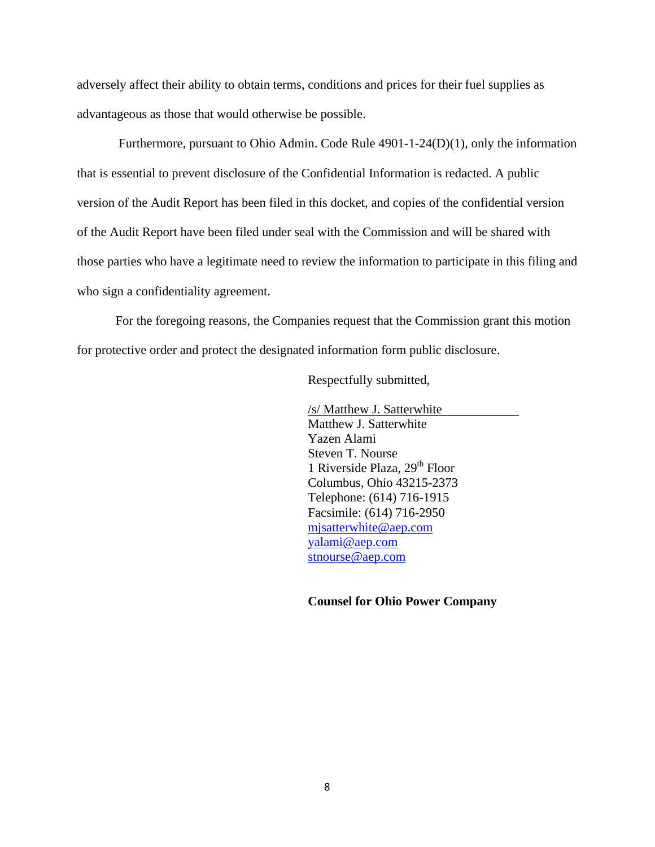adversely affect their ability to obtain terms, conditions and prices for their fuel supplies as advantageous as those that would otherwise be possible.

 Furthermore, pursuant to Ohio Admin. Code Rule 4901-1-24(D)(1), only the information that is essential to prevent disclosure of the Confidential Information is redacted. A public version of the Audit Report has been filed in this docket, and copies of the confidential version of the Audit Report have been filed under seal with the Commission and will be shared with those parties who have a legitimate need to review the information to participate in this filing and who sign a confidentiality agreement.

For the foregoing reasons, the Companies request that the Commission grant this motion for protective order and protect the designated information form public disclosure.

Respectfully submitted,

/s/ Matthew J. Satterwhite Matthew J. Satterwhite Yazen Alami Steven T. Nourse 1 Riverside Plaza,  $29<sup>th</sup>$  Floor Columbus, Ohio 43215-2373 Telephone: (614) 716-1915 Facsimile: (614) 716-2950 mjsatterwhite@aep.com yalami@aep.com stnourse@aep.com

**Counsel for Ohio Power Company**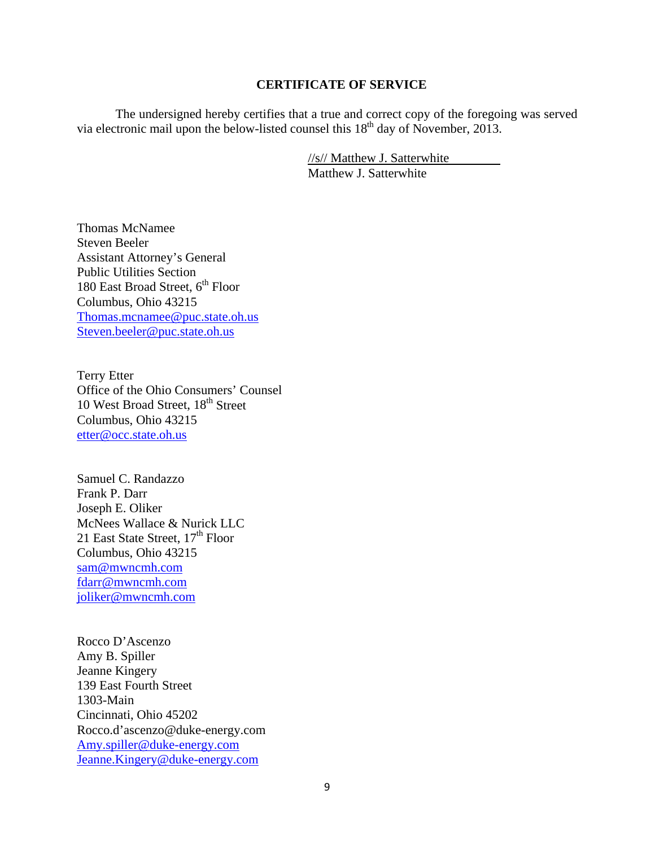#### **CERTIFICATE OF SERVICE**

The undersigned hereby certifies that a true and correct copy of the foregoing was served via electronic mail upon the below-listed counsel this 18<sup>th</sup> day of November, 2013.

> //s// Matthew J. Satterwhite Matthew J. Satterwhite

Thomas McNamee Steven Beeler Assistant Attorney's General Public Utilities Section 180 East Broad Street,  $6^{\rm th}$  Floor Columbus, Ohio 43215 Thomas.mcnamee@puc.state.oh.us Steven.beeler@puc.state.oh.us

Terry Etter Office of the Ohio Consumers' Counsel 10 West Broad Street, 18<sup>th</sup> Street Columbus, Ohio 43215 etter@occ.state.oh.us

Samuel C. Randazzo Frank P. Darr Joseph E. Oliker McNees Wallace & Nurick LLC 21 East State Street,  $17<sup>th</sup>$  Floor Columbus, Ohio 43215 sam@mwncmh.com fdarr@mwncmh.com joliker@mwncmh.com

Rocco D'Ascenzo Amy B. Spiller Jeanne Kingery 139 East Fourth Street 1303-Main Cincinnati, Ohio 45202 Rocco.d'ascenzo@duke-energy.com Amy.spiller@duke-energy.com Jeanne.Kingery@duke-energy.com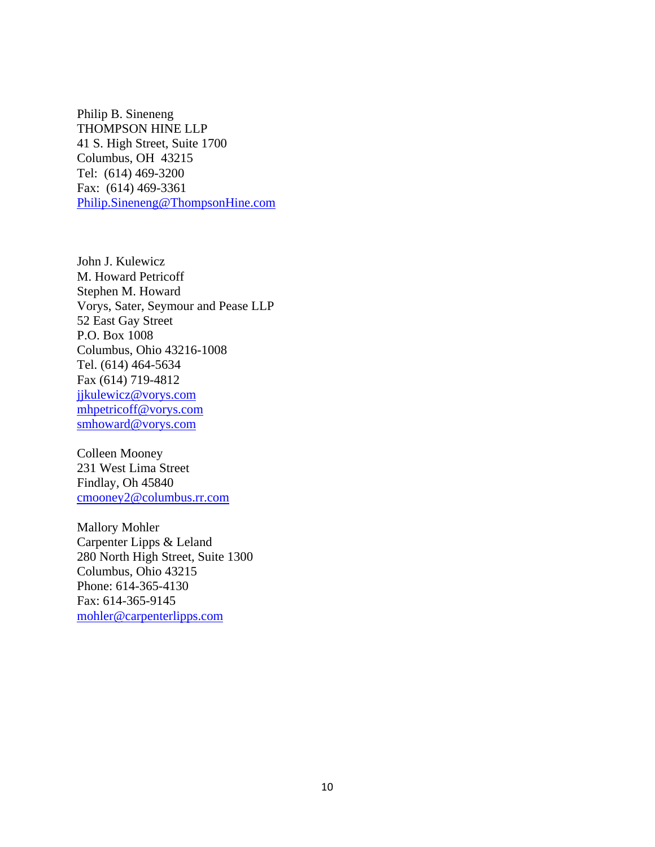Philip B. Sineneng THOMPSON HINE LLP 41 S. High Street, Suite 1700 Columbus, OH 43215 Tel: (614) 469-3200 Fax: (614) 469-3361 Philip.Sineneng@ThompsonHine.com

John J. Kulewicz M. Howard Petricoff Stephen M. Howard Vorys, Sater, Seymour and Pease LLP 52 East Gay Street P.O. Box 1008 Columbus, Ohio 43216-1008 Tel. (614) 464-5634 Fax (614) 719-4812 jjkulewicz@vorys.com mhpetricoff@vorys.com smhoward@vorys.com

Colleen Mooney 231 West Lima Street Findlay, Oh 45840 cmooney2@columbus.rr.com

Mallory Mohler Carpenter Lipps & Leland 280 North High Street, Suite 1300 Columbus, Ohio 43215 Phone: 614-365-4130 Fax: 614-365-9145 mohler@carpenterlipps.com